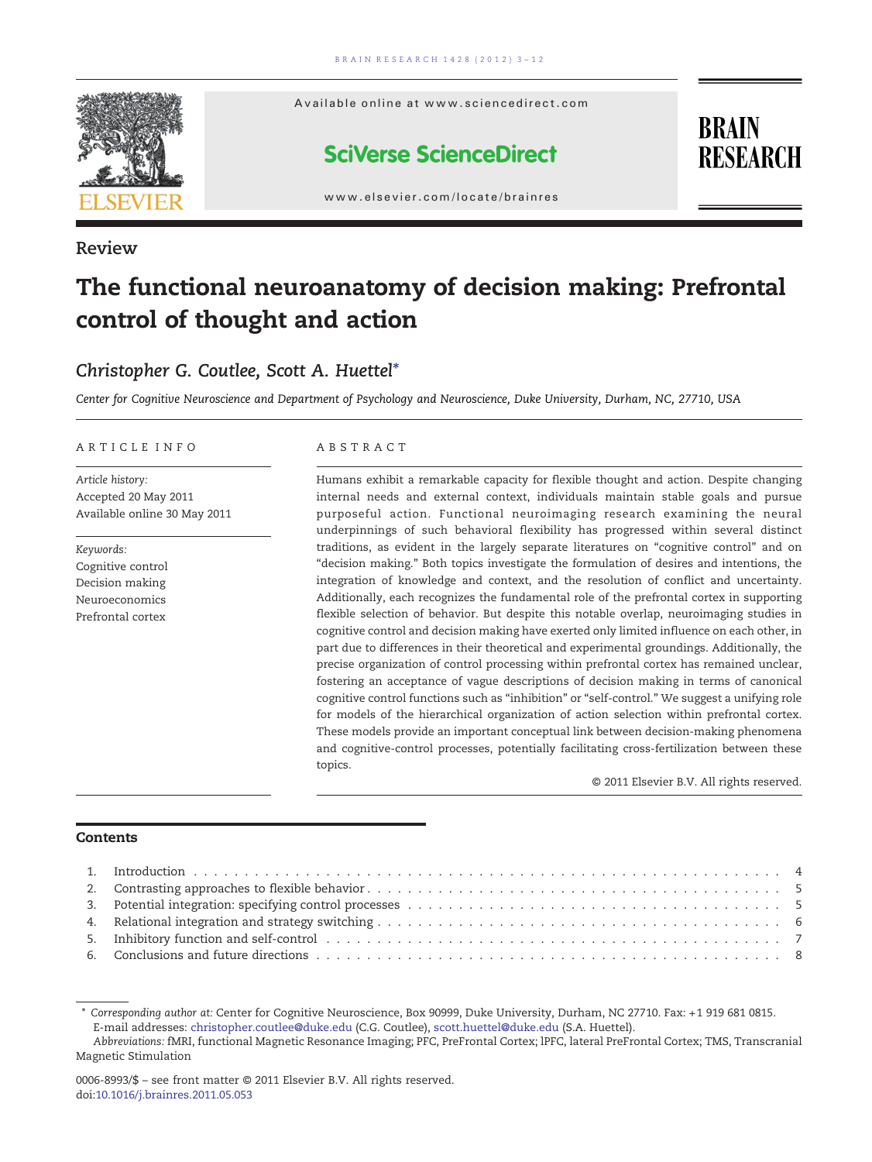

# Review

### Available online at www.sciencedirect.com

# **SciVerse ScienceDirect**

www.elsevier.com/locate/brainres

**BRAIN RESEARCH** 

# The functional neuroanatomy of decision making: Prefrontal control of thought and action

# Christopher G. Coutlee, Scott A. Huettel<sup>\*</sup>

Center for Cognitive Neuroscience and Department of Psychology and Neuroscience, Duke University, Durham, NC, 27710, USA

# ARTICLE INFO ABSTRACT

Article history: Accepted 20 May 2011 Available online 30 May 2011

Keywords: Cognitive control Decision making Neuroeconomics Prefrontal cortex

Humans exhibit a remarkable capacity for flexible thought and action. Despite changing internal needs and external context, individuals maintain stable goals and pursue purposeful action. Functional neuroimaging research examining the neural underpinnings of such behavioral flexibility has progressed within several distinct traditions, as evident in the largely separate literatures on "cognitive control" and on "decision making." Both topics investigate the formulation of desires and intentions, the integration of knowledge and context, and the resolution of conflict and uncertainty. Additionally, each recognizes the fundamental role of the prefrontal cortex in supporting flexible selection of behavior. But despite this notable overlap, neuroimaging studies in cognitive control and decision making have exerted only limited influence on each other, in part due to differences in their theoretical and experimental groundings. Additionally, the precise organization of control processing within prefrontal cortex has remained unclear, fostering an acceptance of vague descriptions of decision making in terms of canonical cognitive control functions such as "inhibition" or "self-control." We suggest a unifying role for models of the hierarchical organization of action selection within prefrontal cortex. These models provide an important conceptual link between decision-making phenomena and cognitive-control processes, potentially facilitating cross-fertilization between these topics.

© 2011 Elsevier B.V. All rights reserved.

# **Contents**

<sup>⁎</sup> Corresponding author at: Center for Cognitive Neuroscience, Box 90999, Duke University, Durham, NC 27710. Fax: +1 919 681 0815. E-mail addresses: [christopher.coutlee@duke.edu](mailto:christopher.coutlee@duke.edu) (C.G. Coutlee), [scott.huettel@duke.edu](mailto:scott.huettel@duke.edu) (S.A. Huettel).

Abbreviations: fMRI, functional Magnetic Resonance Imaging; PFC, PreFrontal Cortex; lPFC, lateral PreFrontal Cortex; TMS, Transcranial Magnetic Stimulation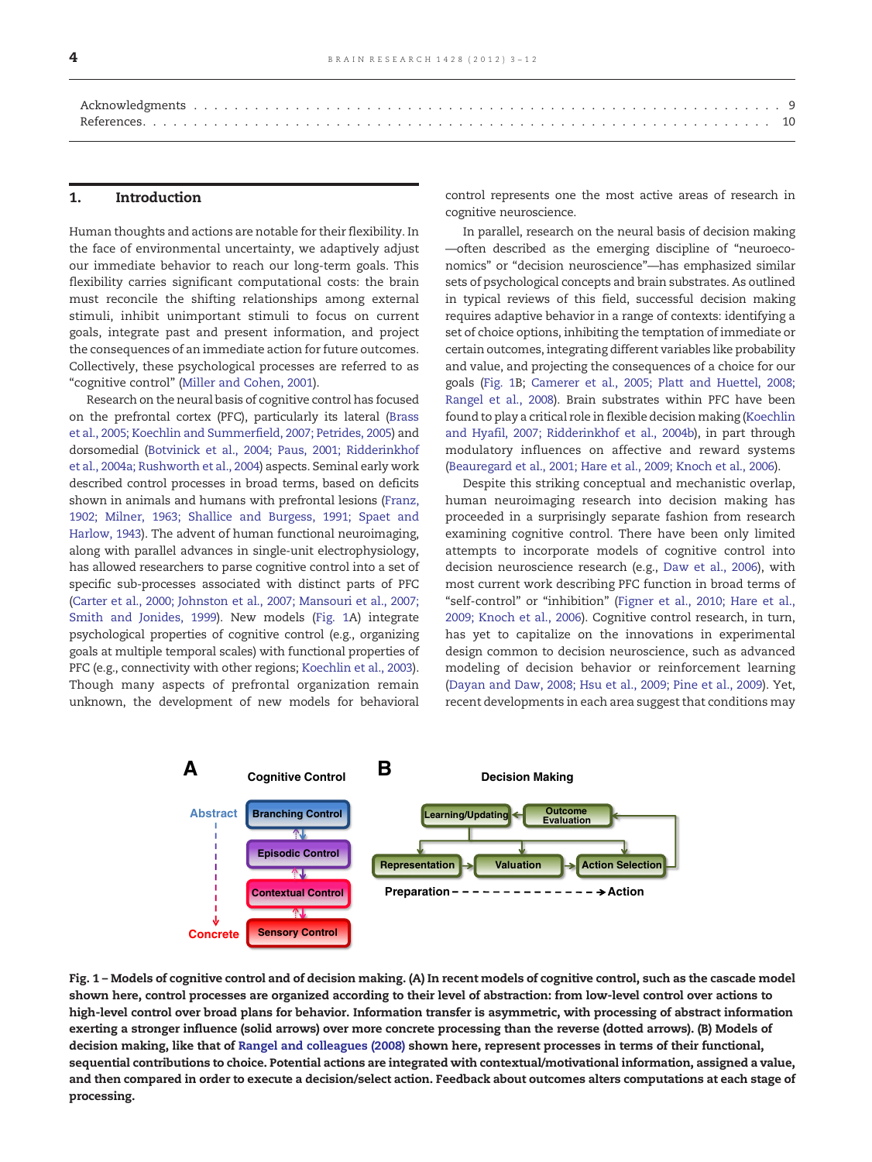# 1. Introduction

Human thoughts and actions are notable for their flexibility. In the face of environmental uncertainty, we adaptively adjust our immediate behavior to reach our long-term goals. This flexibility carries significant computational costs: the brain must reconcile the shifting relationships among external stimuli, inhibit unimportant stimuli to focus on current goals, integrate past and present information, and project the consequences of an immediate action for future outcomes. Collectively, these psychological processes are referred to as "cognitive control" ([Miller and Cohen, 2001\)](#page-8-0).

Research on the neural basis of cognitive control has focused on the prefrontal cortex (PFC), particularly its lateral [\(Brass](#page-7-0) [et al., 2005; Koechlin and Summerfield, 2007; Petrides, 2005\)](#page-7-0) and dorsomedial [\(Botvinick et al., 2004; Paus, 2001; Ridderinkhof](#page-7-0) [et al., 2004a; Rushworth et al., 2004](#page-7-0)) aspects. Seminal early work described control processes in broad terms, based on deficits shown in animals and humans with prefrontal lesions ([Franz,](#page-8-0) [1902; Milner, 1963; Shallice and Burgess, 1991; Spaet and](#page-8-0) [Harlow, 1943](#page-8-0)). The advent of human functional neuroimaging, along with parallel advances in single-unit electrophysiology, has allowed researchers to parse cognitive control into a set of specific sub-processes associated with distinct parts of PFC ([Carter et al., 2000; Johnston et al., 2007; Mansouri et al., 2007;](#page-7-0) [Smith and Jonides, 1999\)](#page-7-0). New models (Fig. 1A) integrate psychological properties of cognitive control (e.g., organizing goals at multiple temporal scales) with functional properties of PFC (e.g., connectivity with other regions; [Koechlin et al., 2003\)](#page-8-0). Though many aspects of prefrontal organization remain unknown, the development of new models for behavioral

control represents one the most active areas of research in cognitive neuroscience.

In parallel, research on the neural basis of decision making —often described as the emerging discipline of "neuroeconomics" or "decision neuroscience"—has emphasized similar sets of psychological concepts and brain substrates. As outlined in typical reviews of this field, successful decision making requires adaptive behavior in a range of contexts: identifying a set of choice options, inhibiting the temptation of immediate or certain outcomes, integrating different variables like probability and value, and projecting the consequences of a choice for our goals (Fig. 1B; [Camerer et al., 2005; Platt and Huettel, 2008;](#page-7-0) [Rangel et al., 2008](#page-7-0)). Brain substrates within PFC have been found to play a critical role in flexible decision making ([Koechlin](#page-8-0) [and Hyafil, 2007; Ridderinkhof et al., 2004b](#page-8-0)), in part through modulatory influences on affective and reward systems ([Beauregard et al., 2001; Hare et al., 2009; Knoch et al., 2006](#page-7-0)).

Despite this striking conceptual and mechanistic overlap, human neuroimaging research into decision making has proceeded in a surprisingly separate fashion from research examining cognitive control. There have been only limited attempts to incorporate models of cognitive control into decision neuroscience research (e.g., [Daw et al., 2006\)](#page-7-0), with most current work describing PFC function in broad terms of "self-control" or "inhibition" [\(Figner et al., 2010; Hare et al.,](#page-8-0) [2009; Knoch et al., 2006](#page-8-0)). Cognitive control research, in turn, has yet to capitalize on the innovations in experimental design common to decision neuroscience, such as advanced modeling of decision behavior or reinforcement learning ([Dayan and Daw, 2008; Hsu et al., 2009; Pine et al., 2009\)](#page-8-0). Yet, recent developments in each area suggest that conditions may



Fig. 1 – Models of cognitive control and of decision making. (A) In recent models of cognitive control, such as the cascade model shown here, control processes are organized according to their level of abstraction: from low-level control over actions to high-level control over broad plans for behavior. Information transfer is asymmetric, with processing of abstract information exerting a stronger influence (solid arrows) over more concrete processing than the reverse (dotted arrows). (B) Models of decision making, like that of [Rangel and colleagues \(2008\)](#page-9-0) shown here, represent processes in terms of their functional, sequential contributions to choice. Potential actions are integrated with contextual/motivational information, assigned a value, and then compared in order to execute a decision/select action. Feedback about outcomes alters computations at each stage of processing.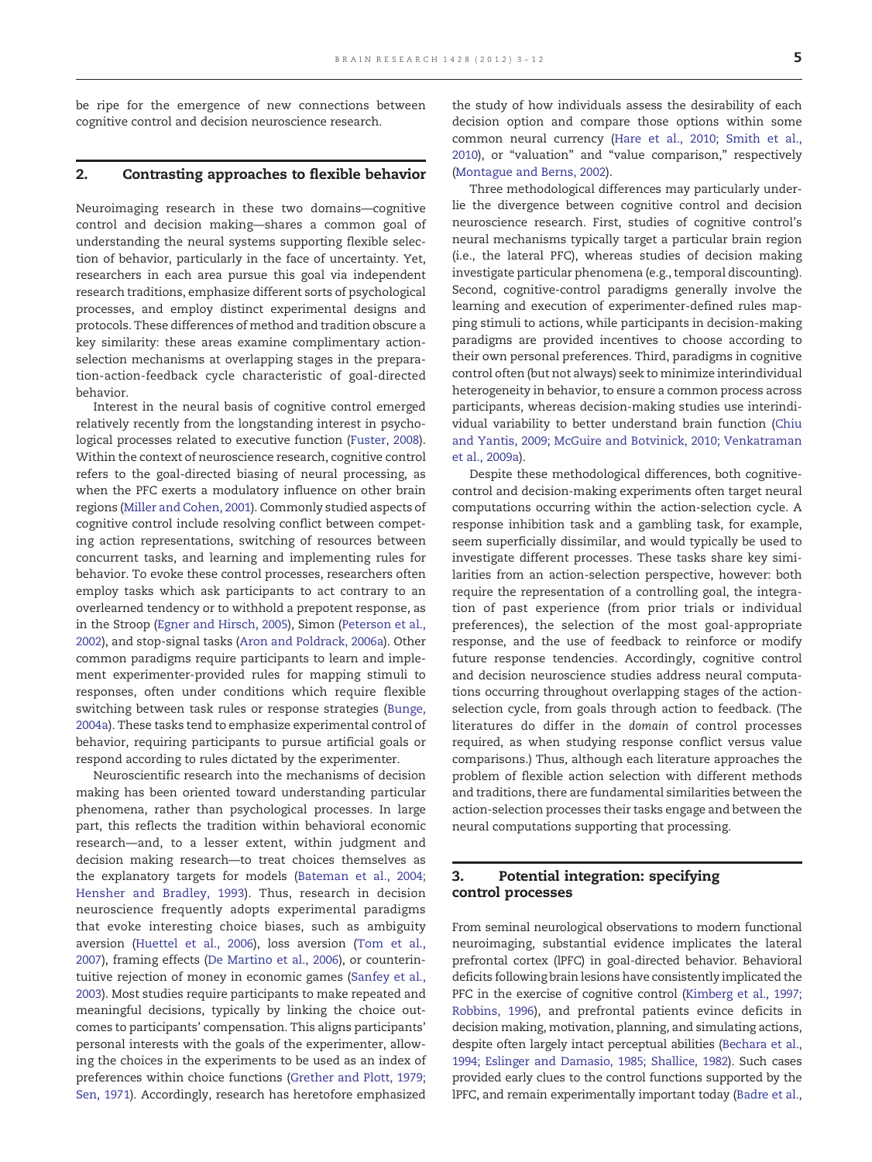<span id="page-2-0"></span>be ripe for the emergence of new connections between cognitive control and decision neuroscience research.

# 2. Contrasting approaches to flexible behavior

Neuroimaging research in these two domains—cognitive control and decision making—shares a common goal of understanding the neural systems supporting flexible selection of behavior, particularly in the face of uncertainty. Yet, researchers in each area pursue this goal via independent research traditions, emphasize different sorts of psychological processes, and employ distinct experimental designs and protocols. These differences of method and tradition obscure a key similarity: these areas examine complimentary actionselection mechanisms at overlapping stages in the preparation-action-feedback cycle characteristic of goal-directed behavior.

Interest in the neural basis of cognitive control emerged relatively recently from the longstanding interest in psychological processes related to executive function [\(Fuster, 2008](#page-8-0)). Within the context of neuroscience research, cognitive control refers to the goal-directed biasing of neural processing, as when the PFC exerts a modulatory influence on other brain regions ([Miller and Cohen, 2001](#page-8-0)). Commonly studied aspects of cognitive control include resolving conflict between competing action representations, switching of resources between concurrent tasks, and learning and implementing rules for behavior. To evoke these control processes, researchers often employ tasks which ask participants to act contrary to an overlearned tendency or to withhold a prepotent response, as in the Stroop ([Egner and Hirsch, 2005\)](#page-8-0), Simon ([Peterson et al.,](#page-9-0) [2002](#page-9-0)), and stop-signal tasks ([Aron and Poldrack, 2006a](#page-7-0)). Other common paradigms require participants to learn and implement experimenter-provided rules for mapping stimuli to responses, often under conditions which require flexible switching between task rules or response strategies ([Bunge,](#page-7-0) [2004a\)](#page-7-0). These tasks tend to emphasize experimental control of behavior, requiring participants to pursue artificial goals or respond according to rules dictated by the experimenter.

Neuroscientific research into the mechanisms of decision making has been oriented toward understanding particular phenomena, rather than psychological processes. In large part, this reflects the tradition within behavioral economic research—and, to a lesser extent, within judgment and decision making research—to treat choices themselves as the explanatory targets for models [\(Bateman et al., 2004;](#page-7-0) [Hensher and Bradley, 1993](#page-7-0)). Thus, research in decision neuroscience frequently adopts experimental paradigms that evoke interesting choice biases, such as ambiguity aversion ([Huettel et al., 2006](#page-8-0)), loss aversion ([Tom et al.,](#page-9-0) [2007](#page-9-0)), framing effects [\(De Martino et al., 2006](#page-8-0)), or counterintuitive rejection of money in economic games ([Sanfey et al.,](#page-9-0) [2003](#page-9-0)). Most studies require participants to make repeated and meaningful decisions, typically by linking the choice outcomes to participants' compensation. This aligns participants' personal interests with the goals of the experimenter, allowing the choices in the experiments to be used as an index of preferences within choice functions [\(Grether and Plott, 1979;](#page-8-0) [Sen, 1971\)](#page-8-0). Accordingly, research has heretofore emphasized

the study of how individuals assess the desirability of each decision option and compare those options within some common neural currency ([Hare et al., 2010; Smith et al.,](#page-8-0) [2010](#page-8-0)), or "valuation" and "value comparison," respectively [\(Montague and Berns, 2002\)](#page-8-0).

Three methodological differences may particularly underlie the divergence between cognitive control and decision neuroscience research. First, studies of cognitive control's neural mechanisms typically target a particular brain region (i.e., the lateral PFC), whereas studies of decision making investigate particular phenomena (e.g., temporal discounting). Second, cognitive-control paradigms generally involve the learning and execution of experimenter-defined rules mapping stimuli to actions, while participants in decision-making paradigms are provided incentives to choose according to their own personal preferences. Third, paradigms in cognitive control often (but not always) seek to minimize interindividual heterogeneity in behavior, to ensure a common process across participants, whereas decision-making studies use interindividual variability to better understand brain function ([Chiu](#page-7-0) [and Yantis, 2009; McGuire and Botvinick, 2010; Venkatraman](#page-7-0) [et al., 2009a\)](#page-7-0).

Despite these methodological differences, both cognitivecontrol and decision-making experiments often target neural computations occurring within the action-selection cycle. A response inhibition task and a gambling task, for example, seem superficially dissimilar, and would typically be used to investigate different processes. These tasks share key similarities from an action-selection perspective, however: both require the representation of a controlling goal, the integration of past experience (from prior trials or individual preferences), the selection of the most goal-appropriate response, and the use of feedback to reinforce or modify future response tendencies. Accordingly, cognitive control and decision neuroscience studies address neural computations occurring throughout overlapping stages of the actionselection cycle, from goals through action to feedback. (The literatures do differ in the domain of control processes required, as when studying response conflict versus value comparisons.) Thus, although each literature approaches the problem of flexible action selection with different methods and traditions, there are fundamental similarities between the action-selection processes their tasks engage and between the neural computations supporting that processing.

# 3. Potential integration: specifying control processes

From seminal neurological observations to modern functional neuroimaging, substantial evidence implicates the lateral prefrontal cortex (lPFC) in goal-directed behavior. Behavioral deficits following brain lesions have consistently implicated the PFC in the exercise of cognitive control [\(Kimberg et al., 1997;](#page-8-0) [Robbins, 1996\)](#page-8-0), and prefrontal patients evince deficits in decision making, motivation, planning, and simulating actions, despite often largely intact perceptual abilities ([Bechara et al.,](#page-7-0) [1994; Eslinger and Damasio, 1985; Shallice, 1982](#page-7-0)). Such cases provided early clues to the control functions supported by the lPFC, and remain experimentally important today [\(Badre et al.,](#page-7-0)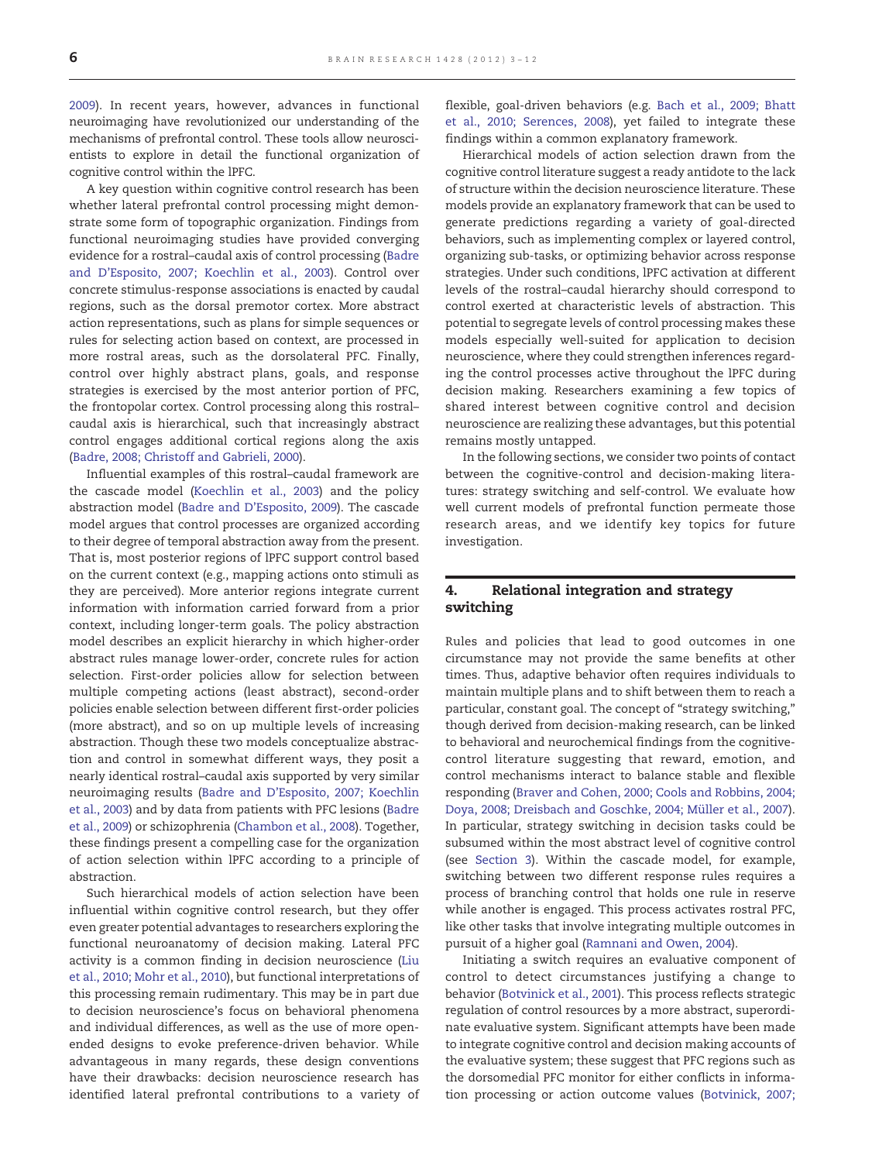[2009](#page-7-0)). In recent years, however, advances in functional neuroimaging have revolutionized our understanding of the mechanisms of prefrontal control. These tools allow neuroscientists to explore in detail the functional organization of cognitive control within the lPFC.

A key question within cognitive control research has been whether lateral prefrontal control processing might demonstrate some form of topographic organization. Findings from functional neuroimaging studies have provided converging evidence for a rostral–caudal axis of control processing [\(Badre](#page-7-0) [and D'Esposito, 2007; Koechlin et al., 2003\)](#page-7-0). Control over concrete stimulus-response associations is enacted by caudal regions, such as the dorsal premotor cortex. More abstract action representations, such as plans for simple sequences or rules for selecting action based on context, are processed in more rostral areas, such as the dorsolateral PFC. Finally, control over highly abstract plans, goals, and response strategies is exercised by the most anterior portion of PFC, the frontopolar cortex. Control processing along this rostral– caudal axis is hierarchical, such that increasingly abstract control engages additional cortical regions along the axis ([Badre, 2008; Christoff and Gabrieli, 2000](#page-7-0)).

Influential examples of this rostral–caudal framework are the cascade model ([Koechlin et al., 2003](#page-8-0)) and the policy abstraction model ([Badre and D'Esposito, 2009](#page-7-0)). The cascade model argues that control processes are organized according to their degree of temporal abstraction away from the present. That is, most posterior regions of lPFC support control based on the current context (e.g., mapping actions onto stimuli as they are perceived). More anterior regions integrate current information with information carried forward from a prior context, including longer-term goals. The policy abstraction model describes an explicit hierarchy in which higher-order abstract rules manage lower-order, concrete rules for action selection. First-order policies allow for selection between multiple competing actions (least abstract), second-order policies enable selection between different first-order policies (more abstract), and so on up multiple levels of increasing abstraction. Though these two models conceptualize abstraction and control in somewhat different ways, they posit a nearly identical rostral–caudal axis supported by very similar neuroimaging results ([Badre and D'Esposito, 2007; Koechlin](#page-7-0) [et al., 2003](#page-7-0)) and by data from patients with PFC lesions [\(Badre](#page-7-0) [et al., 2009\)](#page-7-0) or schizophrenia [\(Chambon et al., 2008\)](#page-7-0). Together, these findings present a compelling case for the organization of action selection within lPFC according to a principle of abstraction.

Such hierarchical models of action selection have been influential within cognitive control research, but they offer even greater potential advantages to researchers exploring the functional neuroanatomy of decision making. Lateral PFC activity is a common finding in decision neuroscience [\(Liu](#page-8-0) [et al., 2010; Mohr et al., 2010\)](#page-8-0), but functional interpretations of this processing remain rudimentary. This may be in part due to decision neuroscience's focus on behavioral phenomena and individual differences, as well as the use of more openended designs to evoke preference-driven behavior. While advantageous in many regards, these design conventions have their drawbacks: decision neuroscience research has identified lateral prefrontal contributions to a variety of

flexible, goal-driven behaviors (e.g. [Bach et al., 2009; Bhatt](#page-7-0) [et al., 2010; Serences, 2008\)](#page-7-0), yet failed to integrate these findings within a common explanatory framework.

Hierarchical models of action selection drawn from the cognitive control literature suggest a ready antidote to the lack of structure within the decision neuroscience literature. These models provide an explanatory framework that can be used to generate predictions regarding a variety of goal-directed behaviors, such as implementing complex or layered control, organizing sub-tasks, or optimizing behavior across response strategies. Under such conditions, lPFC activation at different levels of the rostral–caudal hierarchy should correspond to control exerted at characteristic levels of abstraction. This potential to segregate levels of control processing makes these models especially well-suited for application to decision neuroscience, where they could strengthen inferences regarding the control processes active throughout the lPFC during decision making. Researchers examining a few topics of shared interest between cognitive control and decision neuroscience are realizing these advantages, but this potential remains mostly untapped.

In the following sections, we consider two points of contact between the cognitive-control and decision-making literatures: strategy switching and self-control. We evaluate how well current models of prefrontal function permeate those research areas, and we identify key topics for future investigation.

# 4. Relational integration and strategy switching

Rules and policies that lead to good outcomes in one circumstance may not provide the same benefits at other times. Thus, adaptive behavior often requires individuals to maintain multiple plans and to shift between them to reach a particular, constant goal. The concept of "strategy switching," though derived from decision-making research, can be linked to behavioral and neurochemical findings from the cognitivecontrol literature suggesting that reward, emotion, and control mechanisms interact to balance stable and flexible responding ([Braver and Cohen, 2000; Cools and Robbins, 2004;](#page-7-0) [Doya, 2008; Dreisbach and Goschke, 2004; Müller et al., 2007\)](#page-7-0). In particular, strategy switching in decision tasks could be subsumed within the most abstract level of cognitive control (see [Section 3](#page-2-0)). Within the cascade model, for example, switching between two different response rules requires a process of branching control that holds one rule in reserve while another is engaged. This process activates rostral PFC, like other tasks that involve integrating multiple outcomes in pursuit of a higher goal [\(Ramnani and Owen, 2004\)](#page-9-0).

Initiating a switch requires an evaluative component of control to detect circumstances justifying a change to behavior ([Botvinick et al., 2001\)](#page-7-0). This process reflects strategic regulation of control resources by a more abstract, superordinate evaluative system. Significant attempts have been made to integrate cognitive control and decision making accounts of the evaluative system; these suggest that PFC regions such as the dorsomedial PFC monitor for either conflicts in information processing or action outcome values ([Botvinick, 2007;](#page-7-0)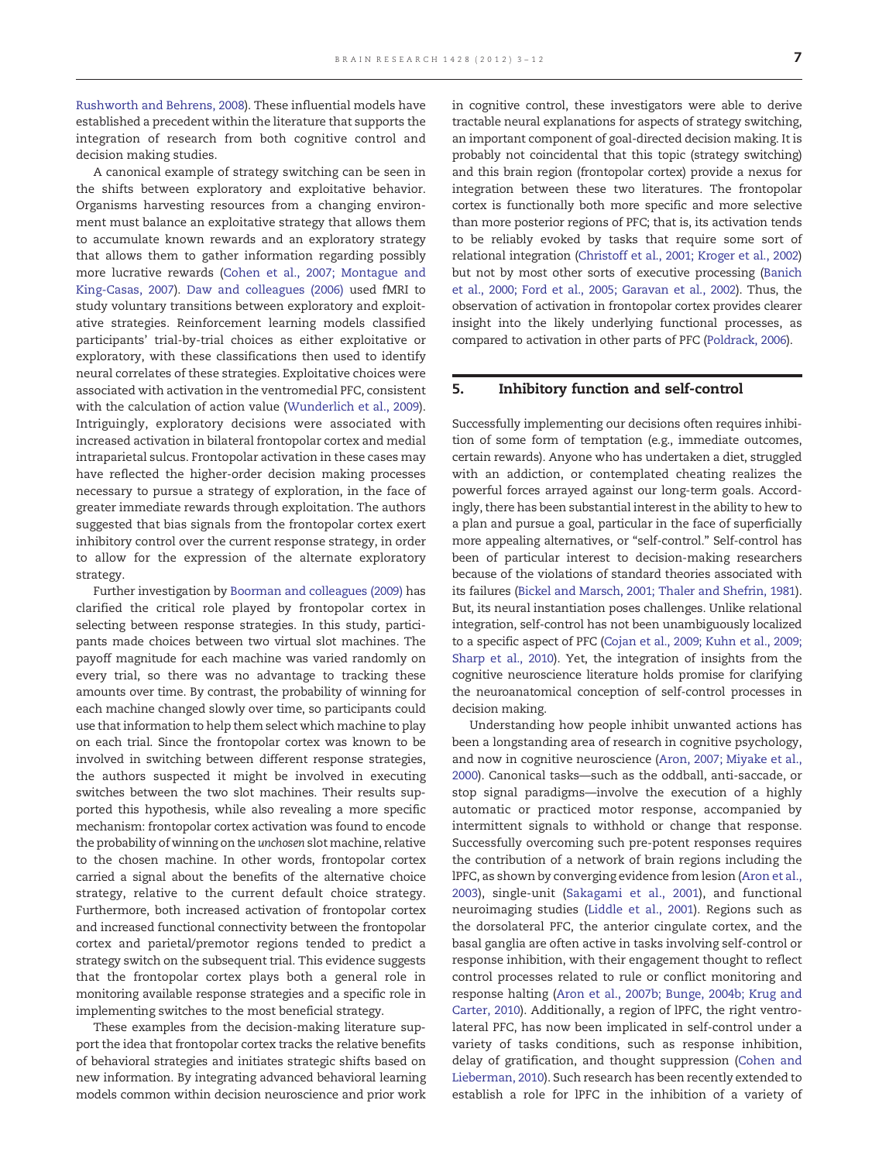[Rushworth and Behrens, 2008\)](#page-7-0). These influential models have established a precedent within the literature that supports the integration of research from both cognitive control and decision making studies.

A canonical example of strategy switching can be seen in the shifts between exploratory and exploitative behavior. Organisms harvesting resources from a changing environment must balance an exploitative strategy that allows them to accumulate known rewards and an exploratory strategy that allows them to gather information regarding possibly more lucrative rewards ([Cohen et al., 2007; Montague and](#page-7-0) [King-Casas, 2007\)](#page-7-0). [Daw and colleagues \(2006\)](#page-7-0) used fMRI to study voluntary transitions between exploratory and exploitative strategies. Reinforcement learning models classified participants' trial-by-trial choices as either exploitative or exploratory, with these classifications then used to identify neural correlates of these strategies. Exploitative choices were associated with activation in the ventromedial PFC, consistent with the calculation of action value [\(Wunderlich et al., 2009](#page-9-0)). Intriguingly, exploratory decisions were associated with increased activation in bilateral frontopolar cortex and medial intraparietal sulcus. Frontopolar activation in these cases may have reflected the higher-order decision making processes necessary to pursue a strategy of exploration, in the face of greater immediate rewards through exploitation. The authors suggested that bias signals from the frontopolar cortex exert inhibitory control over the current response strategy, in order to allow for the expression of the alternate exploratory strategy.

Further investigation by [Boorman and colleagues \(2009\)](#page-7-0) has clarified the critical role played by frontopolar cortex in selecting between response strategies. In this study, participants made choices between two virtual slot machines. The payoff magnitude for each machine was varied randomly on every trial, so there was no advantage to tracking these amounts over time. By contrast, the probability of winning for each machine changed slowly over time, so participants could use that information to help them select which machine to play on each trial. Since the frontopolar cortex was known to be involved in switching between different response strategies, the authors suspected it might be involved in executing switches between the two slot machines. Their results supported this hypothesis, while also revealing a more specific mechanism: frontopolar cortex activation was found to encode the probability of winning on the unchosen slot machine, relative to the chosen machine. In other words, frontopolar cortex carried a signal about the benefits of the alternative choice strategy, relative to the current default choice strategy. Furthermore, both increased activation of frontopolar cortex and increased functional connectivity between the frontopolar cortex and parietal/premotor regions tended to predict a strategy switch on the subsequent trial. This evidence suggests that the frontopolar cortex plays both a general role in monitoring available response strategies and a specific role in implementing switches to the most beneficial strategy.

These examples from the decision-making literature support the idea that frontopolar cortex tracks the relative benefits of behavioral strategies and initiates strategic shifts based on new information. By integrating advanced behavioral learning models common within decision neuroscience and prior work

in cognitive control, these investigators were able to derive tractable neural explanations for aspects of strategy switching, an important component of goal-directed decision making. It is probably not coincidental that this topic (strategy switching) and this brain region (frontopolar cortex) provide a nexus for integration between these two literatures. The frontopolar cortex is functionally both more specific and more selective than more posterior regions of PFC; that is, its activation tends to be reliably evoked by tasks that require some sort of relational integration [\(Christoff et al., 2001; Kroger et al., 2002](#page-7-0)) but not by most other sorts of executive processing ([Banich](#page-7-0) [et al., 2000; Ford et al., 2005; Garavan et al., 2002\)](#page-7-0). Thus, the observation of activation in frontopolar cortex provides clearer insight into the likely underlying functional processes, as compared to activation in other parts of PFC [\(Poldrack, 2006](#page-9-0)).

## 5. Inhibitory function and self-control

Successfully implementing our decisions often requires inhibition of some form of temptation (e.g., immediate outcomes, certain rewards). Anyone who has undertaken a diet, struggled with an addiction, or contemplated cheating realizes the powerful forces arrayed against our long-term goals. Accordingly, there has been substantial interest in the ability to hew to a plan and pursue a goal, particular in the face of superficially more appealing alternatives, or "self-control." Self-control has been of particular interest to decision-making researchers because of the violations of standard theories associated with its failures ([Bickel and Marsch, 2001; Thaler and Shefrin, 1981](#page-7-0)). But, its neural instantiation poses challenges. Unlike relational integration, self-control has not been unambiguously localized to a specific aspect of PFC ([Cojan et al., 2009; Kuhn et al., 2009;](#page-7-0) [Sharp et al., 2010](#page-7-0)). Yet, the integration of insights from the cognitive neuroscience literature holds promise for clarifying the neuroanatomical conception of self-control processes in decision making.

Understanding how people inhibit unwanted actions has been a longstanding area of research in cognitive psychology, and now in cognitive neuroscience [\(Aron, 2007; Miyake et al.,](#page-7-0) [2000](#page-7-0)). Canonical tasks—such as the oddball, anti-saccade, or stop signal paradigms—involve the execution of a highly automatic or practiced motor response, accompanied by intermittent signals to withhold or change that response. Successfully overcoming such pre-potent responses requires the contribution of a network of brain regions including the lPFC, as shown by converging evidence from lesion ([Aron et al.,](#page-7-0) [2003\)](#page-7-0), single-unit ([Sakagami et al., 2001\)](#page-9-0), and functional neuroimaging studies ([Liddle et al., 2001\)](#page-8-0). Regions such as the dorsolateral PFC, the anterior cingulate cortex, and the basal ganglia are often active in tasks involving self-control or response inhibition, with their engagement thought to reflect control processes related to rule or conflict monitoring and response halting [\(Aron et al., 2007b; Bunge, 2004b; Krug and](#page-7-0) [Carter, 2010](#page-7-0)). Additionally, a region of lPFC, the right ventrolateral PFC, has now been implicated in self-control under a variety of tasks conditions, such as response inhibition, delay of gratification, and thought suppression [\(Cohen and](#page-7-0) [Lieberman, 2010\)](#page-7-0). Such research has been recently extended to establish a role for lPFC in the inhibition of a variety of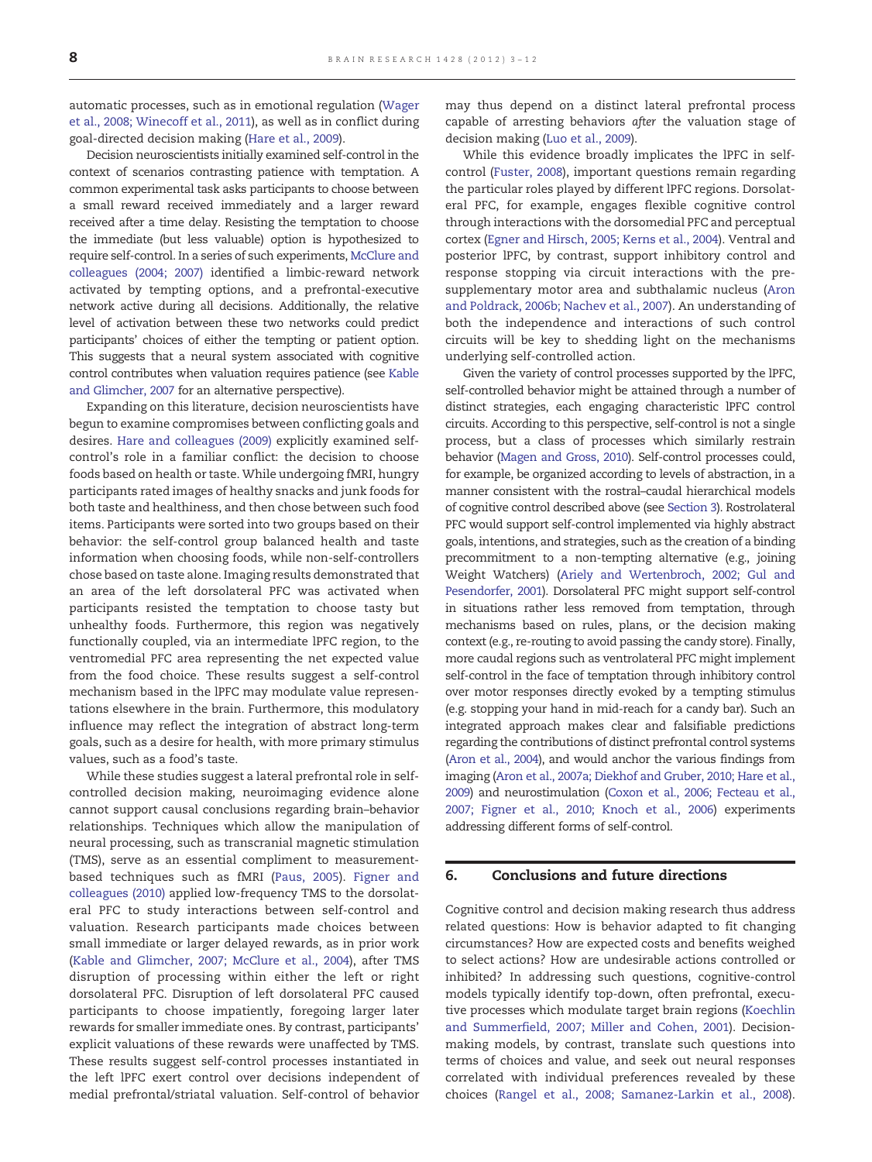automatic processes, such as in emotional regulation [\(Wager](#page-9-0) [et al., 2008; Winecoff et al., 2011\)](#page-9-0), as well as in conflict during goal-directed decision making ([Hare et al., 2009](#page-8-0)).

Decision neuroscientists initially examined self-control in the context of scenarios contrasting patience with temptation. A common experimental task asks participants to choose between a small reward received immediately and a larger reward received after a time delay. Resisting the temptation to choose the immediate (but less valuable) option is hypothesized to require self-control. In a series of such experiments, [McClure and](#page-8-0) [colleagues \(2004; 2007\)](#page-8-0) identified a limbic-reward network activated by tempting options, and a prefrontal-executive network active during all decisions. Additionally, the relative level of activation between these two networks could predict participants' choices of either the tempting or patient option. This suggests that a neural system associated with cognitive control contributes when valuation requires patience (see [Kable](#page-8-0) [and Glimcher, 2007](#page-8-0) for an alternative perspective).

Expanding on this literature, decision neuroscientists have begun to examine compromises between conflicting goals and desires. [Hare and colleagues \(2009\)](#page-8-0) explicitly examined selfcontrol's role in a familiar conflict: the decision to choose foods based on health or taste. While undergoing fMRI, hungry participants rated images of healthy snacks and junk foods for both taste and healthiness, and then chose between such food items. Participants were sorted into two groups based on their behavior: the self-control group balanced health and taste information when choosing foods, while non-self-controllers chose based on taste alone. Imaging results demonstrated that an area of the left dorsolateral PFC was activated when participants resisted the temptation to choose tasty but unhealthy foods. Furthermore, this region was negatively functionally coupled, via an intermediate lPFC region, to the ventromedial PFC area representing the net expected value from the food choice. These results suggest a self-control mechanism based in the lPFC may modulate value representations elsewhere in the brain. Furthermore, this modulatory influence may reflect the integration of abstract long-term goals, such as a desire for health, with more primary stimulus values, such as a food's taste.

While these studies suggest a lateral prefrontal role in selfcontrolled decision making, neuroimaging evidence alone cannot support causal conclusions regarding brain–behavior relationships. Techniques which allow the manipulation of neural processing, such as transcranial magnetic stimulation (TMS), serve as an essential compliment to measurementbased techniques such as fMRI ([Paus, 2005\)](#page-9-0). [Figner and](#page-8-0) [colleagues \(2010\)](#page-8-0) applied low-frequency TMS to the dorsolateral PFC to study interactions between self-control and valuation. Research participants made choices between small immediate or larger delayed rewards, as in prior work ([Kable and Glimcher, 2007; McClure et al., 2004\)](#page-8-0), after TMS disruption of processing within either the left or right dorsolateral PFC. Disruption of left dorsolateral PFC caused participants to choose impatiently, foregoing larger later rewards for smaller immediate ones. By contrast, participants' explicit valuations of these rewards were unaffected by TMS. These results suggest self-control processes instantiated in the left lPFC exert control over decisions independent of medial prefrontal/striatal valuation. Self-control of behavior

may thus depend on a distinct lateral prefrontal process capable of arresting behaviors after the valuation stage of decision making [\(Luo et al., 2009\)](#page-8-0).

While this evidence broadly implicates the lPFC in selfcontrol [\(Fuster, 2008](#page-8-0)), important questions remain regarding the particular roles played by different lPFC regions. Dorsolateral PFC, for example, engages flexible cognitive control through interactions with the dorsomedial PFC and perceptual cortex [\(Egner and Hirsch, 2005; Kerns et al., 2004\)](#page-8-0). Ventral and posterior lPFC, by contrast, support inhibitory control and response stopping via circuit interactions with the presupplementary motor area and subthalamic nucleus [\(Aron](#page-7-0) [and Poldrack, 2006b; Nachev et al., 2007\)](#page-7-0). An understanding of both the independence and interactions of such control circuits will be key to shedding light on the mechanisms underlying self-controlled action.

Given the variety of control processes supported by the lPFC, self-controlled behavior might be attained through a number of distinct strategies, each engaging characteristic lPFC control circuits. According to this perspective, self-control is not a single process, but a class of processes which similarly restrain behavior [\(Magen and Gross, 2010](#page-8-0)). Self-control processes could, for example, be organized according to levels of abstraction, in a manner consistent with the rostral–caudal hierarchical models of cognitive control described above (see [Section 3\)](#page-2-0). Rostrolateral PFC would support self-control implemented via highly abstract goals, intentions, and strategies, such as the creation of a binding precommitment to a non-tempting alternative (e.g., joining Weight Watchers) ([Ariely and Wertenbroch, 2002; Gul and](#page-7-0) [Pesendorfer, 2001](#page-7-0)). Dorsolateral PFC might support self-control in situations rather less removed from temptation, through mechanisms based on rules, plans, or the decision making context (e.g., re-routing to avoid passing the candy store). Finally, more caudal regions such as ventrolateral PFC might implement self-control in the face of temptation through inhibitory control over motor responses directly evoked by a tempting stimulus (e.g. stopping your hand in mid-reach for a candy bar). Such an integrated approach makes clear and falsifiable predictions regarding the contributions of distinct prefrontal control systems ([Aron et al., 2004\)](#page-7-0), and would anchor the various findings from imaging [\(Aron et al., 2007a; Diekhof and Gruber, 2010; Hare et al.,](#page-7-0) [2009](#page-7-0)) and neurostimulation ([Coxon et al., 2006; Fecteau et al.,](#page-7-0) [2007; Figner et al., 2010; Knoch et al., 2006\)](#page-7-0) experiments addressing different forms of self-control.

# 6. Conclusions and future directions

Cognitive control and decision making research thus address related questions: How is behavior adapted to fit changing circumstances? How are expected costs and benefits weighed to select actions? How are undesirable actions controlled or inhibited? In addressing such questions, cognitive-control models typically identify top-down, often prefrontal, executive processes which modulate target brain regions [\(Koechlin](#page-8-0) [and Summerfield, 2007; Miller and Cohen, 2001](#page-8-0)). Decisionmaking models, by contrast, translate such questions into terms of choices and value, and seek out neural responses correlated with individual preferences revealed by these choices ([Rangel et al., 2008; Samanez-Larkin et al., 2008\)](#page-9-0).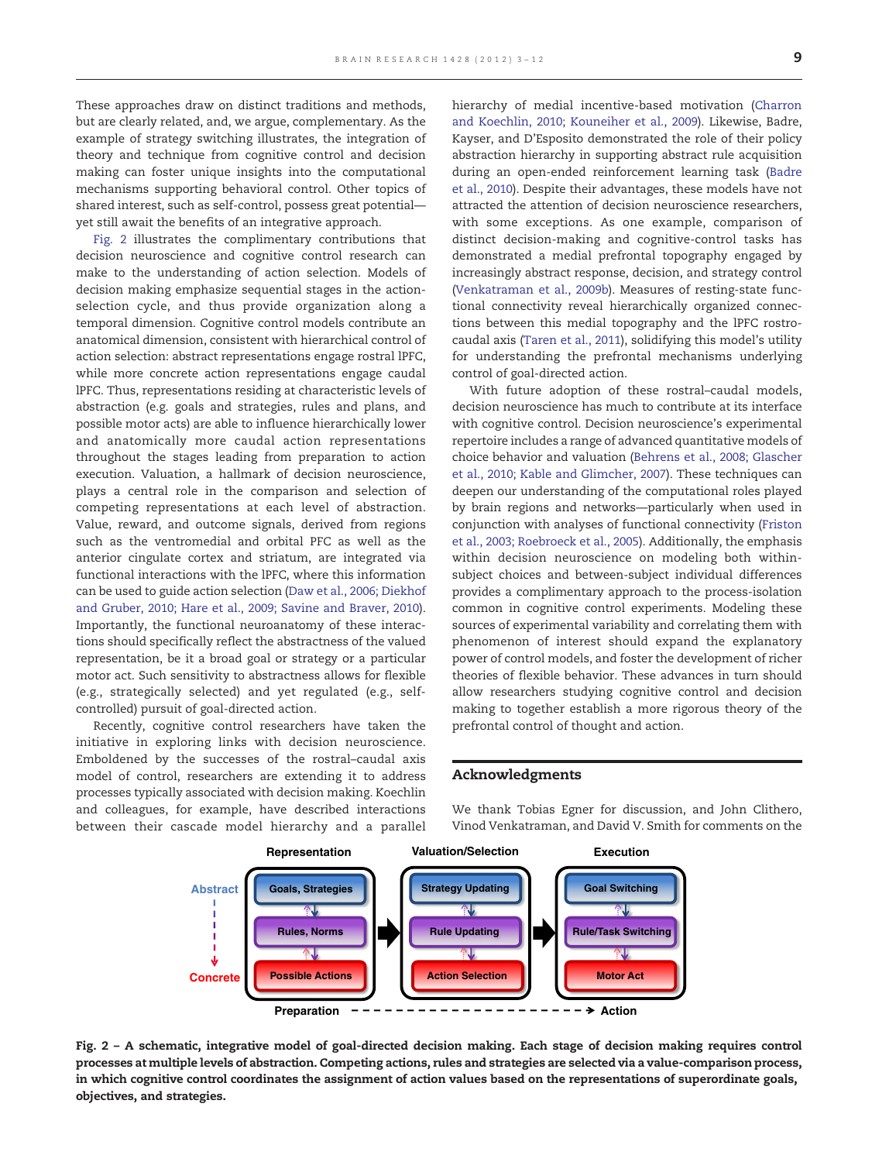These approaches draw on distinct traditions and methods, but are clearly related, and, we argue, complementary. As the example of strategy switching illustrates, the integration of theory and technique from cognitive control and decision making can foster unique insights into the computational mechanisms supporting behavioral control. Other topics of shared interest, such as self-control, possess great potential yet still await the benefits of an integrative approach.

Fig. 2 illustrates the complimentary contributions that decision neuroscience and cognitive control research can make to the understanding of action selection. Models of decision making emphasize sequential stages in the actionselection cycle, and thus provide organization along a temporal dimension. Cognitive control models contribute an anatomical dimension, consistent with hierarchical control of action selection: abstract representations engage rostral lPFC, while more concrete action representations engage caudal lPFC. Thus, representations residing at characteristic levels of abstraction (e.g. goals and strategies, rules and plans, and possible motor acts) are able to influence hierarchically lower and anatomically more caudal action representations throughout the stages leading from preparation to action execution. Valuation, a hallmark of decision neuroscience, plays a central role in the comparison and selection of competing representations at each level of abstraction. Value, reward, and outcome signals, derived from regions such as the ventromedial and orbital PFC as well as the anterior cingulate cortex and striatum, are integrated via functional interactions with the lPFC, where this information can be used to guide action selection [\(Daw et al., 2006; Diekhof](#page-7-0) [and Gruber, 2010; Hare et al., 2009; Savine and Braver, 2010](#page-7-0)). Importantly, the functional neuroanatomy of these interactions should specifically reflect the abstractness of the valued representation, be it a broad goal or strategy or a particular motor act. Such sensitivity to abstractness allows for flexible (e.g., strategically selected) and yet regulated (e.g., selfcontrolled) pursuit of goal-directed action.

Recently, cognitive control researchers have taken the initiative in exploring links with decision neuroscience. Emboldened by the successes of the rostral–caudal axis model of control, researchers are extending it to address processes typically associated with decision making. Koechlin and colleagues, for example, have described interactions between their cascade model hierarchy and a parallel hierarchy of medial incentive-based motivation ([Charron](#page-7-0) [and Koechlin, 2010; Kouneiher et al., 2009\)](#page-7-0). Likewise, Badre, Kayser, and D'Esposito demonstrated the role of their policy abstraction hierarchy in supporting abstract rule acquisition during an open-ended reinforcement learning task ([Badre](#page-7-0) [et al., 2010](#page-7-0)). Despite their advantages, these models have not attracted the attention of decision neuroscience researchers, with some exceptions. As one example, comparison of distinct decision-making and cognitive-control tasks has demonstrated a medial prefrontal topography engaged by increasingly abstract response, decision, and strategy control [\(Venkatraman et al., 2009b\)](#page-9-0). Measures of resting-state functional connectivity reveal hierarchically organized connections between this medial topography and the lPFC rostrocaudal axis ([Taren et al., 2011](#page-9-0)), solidifying this model's utility for understanding the prefrontal mechanisms underlying control of goal-directed action.

With future adoption of these rostral–caudal models, decision neuroscience has much to contribute at its interface with cognitive control. Decision neuroscience's experimental repertoire includes a range of advanced quantitative models of choice behavior and valuation [\(Behrens et al., 2008; Glascher](#page-7-0) [et al., 2010; Kable and Glimcher, 2007](#page-7-0)). These techniques can deepen our understanding of the computational roles played by brain regions and networks—particularly when used in conjunction with analyses of functional connectivity ([Friston](#page-8-0) [et al., 2003; Roebroeck et al., 2005\)](#page-8-0). Additionally, the emphasis within decision neuroscience on modeling both withinsubject choices and between-subject individual differences provides a complimentary approach to the process-isolation common in cognitive control experiments. Modeling these sources of experimental variability and correlating them with phenomenon of interest should expand the explanatory power of control models, and foster the development of richer theories of flexible behavior. These advances in turn should allow researchers studying cognitive control and decision making to together establish a more rigorous theory of the prefrontal control of thought and action.

## Acknowledgments



We thank Tobias Egner for discussion, and John Clithero, Vinod Venkatraman, and David V. Smith for comments on the

Fig. 2 – A schematic, integrative model of goal-directed decision making. Each stage of decision making requires control processes at multiple levels of abstraction. Competing actions, rules and strategies are selected via a value-comparison process, in which cognitive control coordinates the assignment of action values based on the representations of superordinate goals, objectives, and strategies.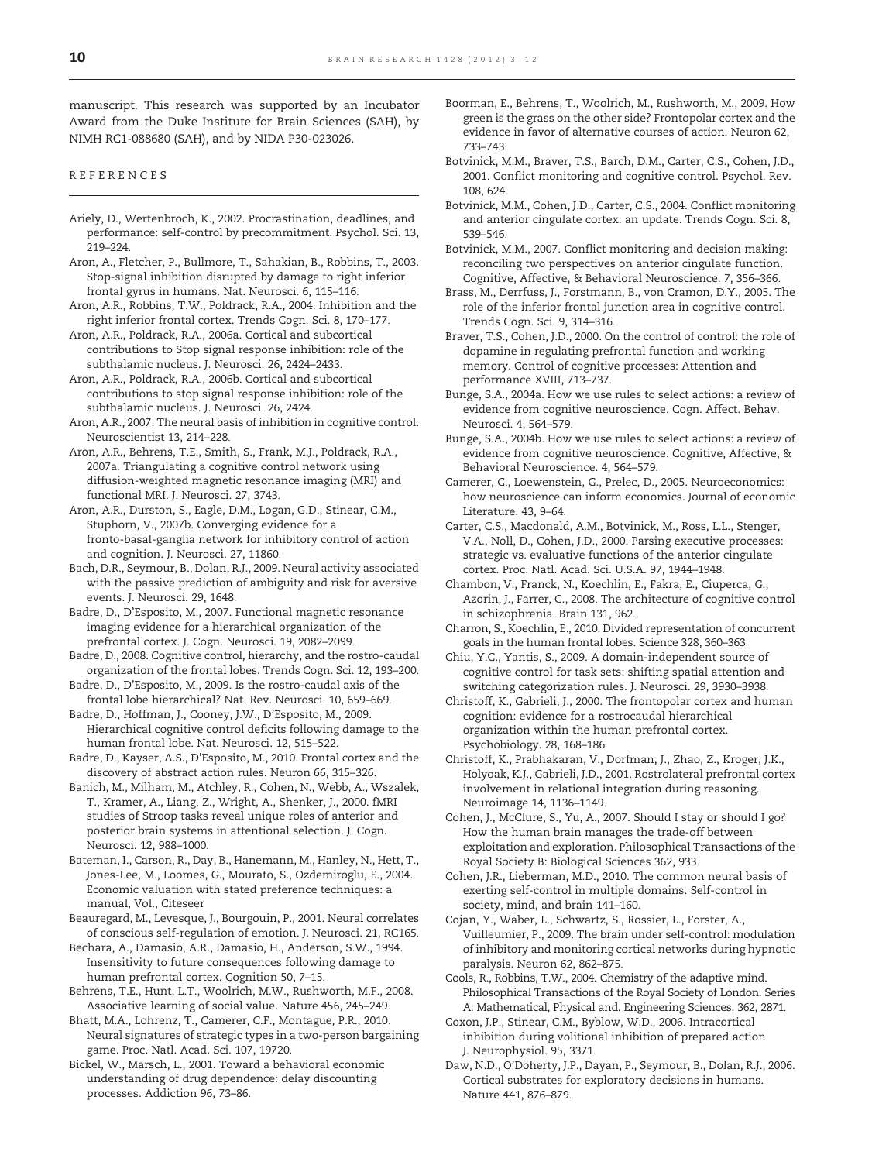<span id="page-7-0"></span>manuscript. This research was supported by an Incubator Award from the Duke Institute for Brain Sciences (SAH), by NIMH RC1-088680 (SAH), and by NIDA P30-023026.

#### REFERENCES

- Ariely, D., Wertenbroch, K., 2002. Procrastination, deadlines, and performance: self-control by precommitment. Psychol. Sci. 13, 219–224.
- Aron, A., Fletcher, P., Bullmore, T., Sahakian, B., Robbins, T., 2003. Stop-signal inhibition disrupted by damage to right inferior frontal gyrus in humans. Nat. Neurosci. 6, 115–116.
- Aron, A.R., Robbins, T.W., Poldrack, R.A., 2004. Inhibition and the right inferior frontal cortex. Trends Cogn. Sci. 8, 170–177.

Aron, A.R., Poldrack, R.A., 2006a. Cortical and subcortical contributions to Stop signal response inhibition: role of the subthalamic nucleus. J. Neurosci. 26, 2424–2433.

- Aron, A.R., Poldrack, R.A., 2006b. Cortical and subcortical contributions to stop signal response inhibition: role of the subthalamic nucleus. J. Neurosci. 26, 2424.
- Aron, A.R., 2007. The neural basis of inhibition in cognitive control. Neuroscientist 13, 214–228.
- Aron, A.R., Behrens, T.E., Smith, S., Frank, M.J., Poldrack, R.A., 2007a. Triangulating a cognitive control network using diffusion-weighted magnetic resonance imaging (MRI) and functional MRI. J. Neurosci. 27, 3743.

Aron, A.R., Durston, S., Eagle, D.M., Logan, G.D., Stinear, C.M., Stuphorn, V., 2007b. Converging evidence for a fronto-basal-ganglia network for inhibitory control of action and cognition. J. Neurosci. 27, 11860.

- Bach, D.R., Seymour, B., Dolan, R.J., 2009. Neural activity associated with the passive prediction of ambiguity and risk for aversive events. J. Neurosci. 29, 1648.
- Badre, D., D'Esposito, M., 2007. Functional magnetic resonance imaging evidence for a hierarchical organization of the prefrontal cortex. J. Cogn. Neurosci. 19, 2082–2099.
- Badre, D., 2008. Cognitive control, hierarchy, and the rostro-caudal organization of the frontal lobes. Trends Cogn. Sci. 12, 193–200.
- Badre, D., D'Esposito, M., 2009. Is the rostro-caudal axis of the frontal lobe hierarchical? Nat. Rev. Neurosci. 10, 659–669.
- Badre, D., Hoffman, J., Cooney, J.W., D'Esposito, M., 2009. Hierarchical cognitive control deficits following damage to the human frontal lobe. Nat. Neurosci. 12, 515–522.
- Badre, D., Kayser, A.S., D'Esposito, M., 2010. Frontal cortex and the discovery of abstract action rules. Neuron 66, 315–326.
- Banich, M., Milham, M., Atchley, R., Cohen, N., Webb, A., Wszalek, T., Kramer, A., Liang, Z., Wright, A., Shenker, J., 2000. fMRI studies of Stroop tasks reveal unique roles of anterior and posterior brain systems in attentional selection. J. Cogn. Neurosci. 12, 988–1000.
- Bateman, I., Carson, R., Day, B., Hanemann, M., Hanley, N., Hett, T., Jones-Lee, M., Loomes, G., Mourato, S., Ozdemiroglu, E., 2004. Economic valuation with stated preference techniques: a manual, Vol., Citeseer
- Beauregard, M., Levesque, J., Bourgouin, P., 2001. Neural correlates of conscious self-regulation of emotion. J. Neurosci. 21, RC165.
- Bechara, A., Damasio, A.R., Damasio, H., Anderson, S.W., 1994. Insensitivity to future consequences following damage to human prefrontal cortex. Cognition 50, 7–15.
- Behrens, T.E., Hunt, L.T., Woolrich, M.W., Rushworth, M.F., 2008. Associative learning of social value. Nature 456, 245–249.
- Bhatt, M.A., Lohrenz, T., Camerer, C.F., Montague, P.R., 2010. Neural signatures of strategic types in a two-person bargaining game. Proc. Natl. Acad. Sci. 107, 19720.
- Bickel, W., Marsch, L., 2001. Toward a behavioral economic understanding of drug dependence: delay discounting processes. Addiction 96, 73–86.
- Boorman, E., Behrens, T., Woolrich, M., Rushworth, M., 2009. How green is the grass on the other side? Frontopolar cortex and the evidence in favor of alternative courses of action. Neuron 62, 733–743.
- Botvinick, M.M., Braver, T.S., Barch, D.M., Carter, C.S., Cohen, J.D., 2001. Conflict monitoring and cognitive control. Psychol. Rev. 108, 624.
- Botvinick, M.M., Cohen, J.D., Carter, C.S., 2004. Conflict monitoring and anterior cingulate cortex: an update. Trends Cogn. Sci. 8, 539–546.
- Botvinick, M.M., 2007. Conflict monitoring and decision making: reconciling two perspectives on anterior cingulate function. Cognitive, Affective, & Behavioral Neuroscience. 7, 356–366.
- Brass, M., Derrfuss, J., Forstmann, B., von Cramon, D.Y., 2005. The role of the inferior frontal junction area in cognitive control. Trends Cogn. Sci. 9, 314–316.
- Braver, T.S., Cohen, J.D., 2000. On the control of control: the role of dopamine in regulating prefrontal function and working memory. Control of cognitive processes: Attention and performance XVIII, 713–737.
- Bunge, S.A., 2004a. How we use rules to select actions: a review of evidence from cognitive neuroscience. Cogn. Affect. Behav. Neurosci. 4, 564–579.
- Bunge, S.A., 2004b. How we use rules to select actions: a review of evidence from cognitive neuroscience. Cognitive, Affective, & Behavioral Neuroscience. 4, 564–579.
- Camerer, C., Loewenstein, G., Prelec, D., 2005. Neuroeconomics: how neuroscience can inform economics. Journal of economic Literature. 43, 9–64.
- Carter, C.S., Macdonald, A.M., Botvinick, M., Ross, L.L., Stenger, V.A., Noll, D., Cohen, J.D., 2000. Parsing executive processes: strategic vs. evaluative functions of the anterior cingulate cortex. Proc. Natl. Acad. Sci. U.S.A. 97, 1944–1948.
- Chambon, V., Franck, N., Koechlin, E., Fakra, E., Ciuperca, G., Azorin, J., Farrer, C., 2008. The architecture of cognitive control in schizophrenia. Brain 131, 962.
- Charron, S., Koechlin, E., 2010. Divided representation of concurrent goals in the human frontal lobes. Science 328, 360–363.
- Chiu, Y.C., Yantis, S., 2009. A domain-independent source of cognitive control for task sets: shifting spatial attention and switching categorization rules. J. Neurosci. 29, 3930–3938.
- Christoff, K., Gabrieli, J., 2000. The frontopolar cortex and human cognition: evidence for a rostrocaudal hierarchical organization within the human prefrontal cortex. Psychobiology. 28, 168–186.
- Christoff, K., Prabhakaran, V., Dorfman, J., Zhao, Z., Kroger, J.K., Holyoak, K.J., Gabrieli, J.D., 2001. Rostrolateral prefrontal cortex involvement in relational integration during reasoning. Neuroimage 14, 1136–1149.
- Cohen, J., McClure, S., Yu, A., 2007. Should I stay or should I go? How the human brain manages the trade-off between exploitation and exploration. Philosophical Transactions of the Royal Society B: Biological Sciences 362, 933.
- Cohen, J.R., Lieberman, M.D., 2010. The common neural basis of exerting self-control in multiple domains. Self-control in society, mind, and brain 141–160.
- Cojan, Y., Waber, L., Schwartz, S., Rossier, L., Forster, A., Vuilleumier, P., 2009. The brain under self-control: modulation of inhibitory and monitoring cortical networks during hypnotic paralysis. Neuron 62, 862–875.
- Cools, R., Robbins, T.W., 2004. Chemistry of the adaptive mind. Philosophical Transactions of the Royal Society of London. Series A: Mathematical, Physical and. Engineering Sciences. 362, 2871.
- Coxon, J.P., Stinear, C.M., Byblow, W.D., 2006. Intracortical inhibition during volitional inhibition of prepared action. J. Neurophysiol. 95, 3371.
- Daw, N.D., O'Doherty, J.P., Dayan, P., Seymour, B., Dolan, R.J., 2006. Cortical substrates for exploratory decisions in humans. Nature 441, 876–879.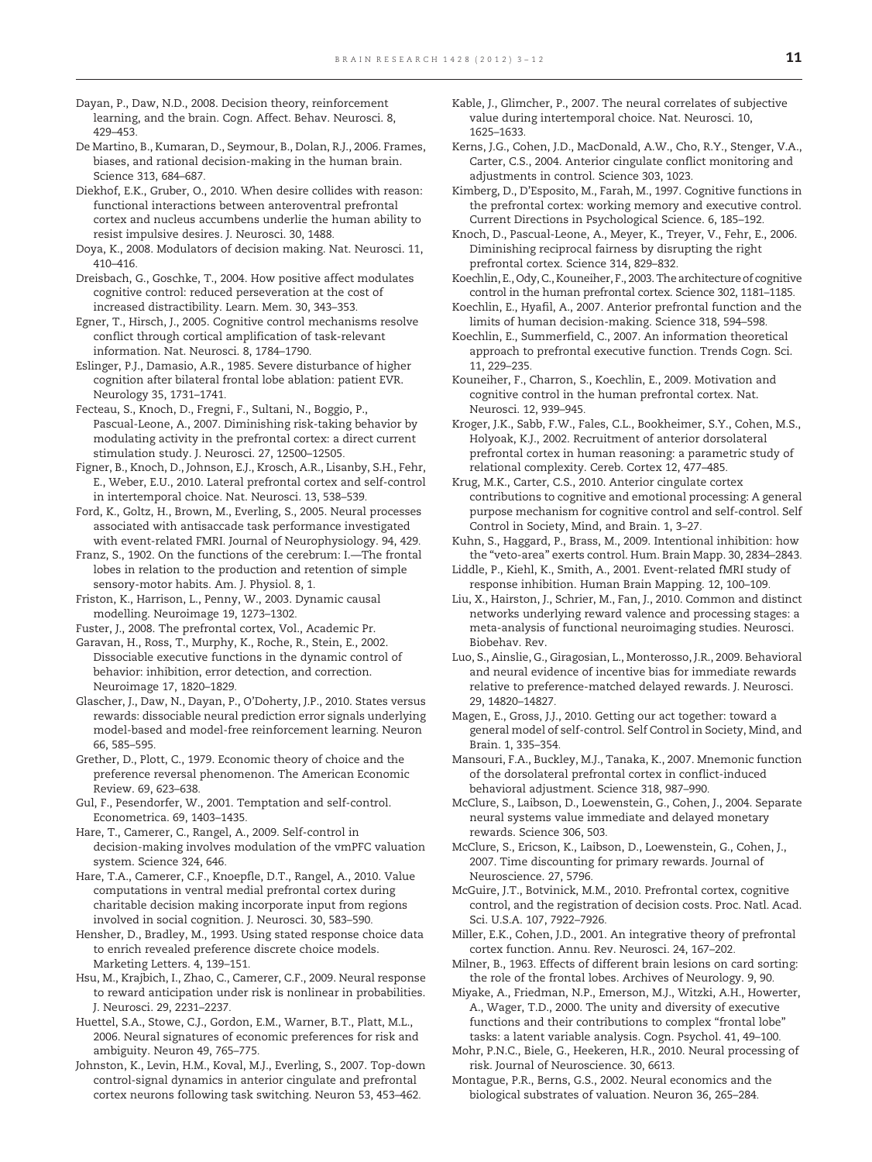- <span id="page-8-0"></span>Dayan, P., Daw, N.D., 2008. Decision theory, reinforcement learning, and the brain. Cogn. Affect. Behav. Neurosci. 8, 429–453.
- De Martino, B., Kumaran, D., Seymour, B., Dolan, R.J., 2006. Frames, biases, and rational decision-making in the human brain. Science 313, 684–687.
- Diekhof, E.K., Gruber, O., 2010. When desire collides with reason: functional interactions between anteroventral prefrontal cortex and nucleus accumbens underlie the human ability to resist impulsive desires. J. Neurosci. 30, 1488.
- Doya, K., 2008. Modulators of decision making. Nat. Neurosci. 11, 410–416.
- Dreisbach, G., Goschke, T., 2004. How positive affect modulates cognitive control: reduced perseveration at the cost of increased distractibility. Learn. Mem. 30, 343–353.
- Egner, T., Hirsch, J., 2005. Cognitive control mechanisms resolve conflict through cortical amplification of task-relevant information. Nat. Neurosci. 8, 1784–1790.
- Eslinger, P.J., Damasio, A.R., 1985. Severe disturbance of higher cognition after bilateral frontal lobe ablation: patient EVR. Neurology 35, 1731–1741.
- Fecteau, S., Knoch, D., Fregni, F., Sultani, N., Boggio, P., Pascual-Leone, A., 2007. Diminishing risk-taking behavior by modulating activity in the prefrontal cortex: a direct current stimulation study. J. Neurosci. 27, 12500–12505.
- Figner, B., Knoch, D., Johnson, E.J., Krosch, A.R., Lisanby, S.H., Fehr, E., Weber, E.U., 2010. Lateral prefrontal cortex and self-control in intertemporal choice. Nat. Neurosci. 13, 538–539.
- Ford, K., Goltz, H., Brown, M., Everling, S., 2005. Neural processes associated with antisaccade task performance investigated with event-related FMRI. Journal of Neurophysiology. 94, 429.
- Franz, S., 1902. On the functions of the cerebrum: I.—The frontal lobes in relation to the production and retention of simple sensory-motor habits. Am. J. Physiol. 8, 1.
- Friston, K., Harrison, L., Penny, W., 2003. Dynamic causal modelling. Neuroimage 19, 1273–1302.
- Fuster, J., 2008. The prefrontal cortex, Vol., Academic Pr.
- Garavan, H., Ross, T., Murphy, K., Roche, R., Stein, E., 2002. Dissociable executive functions in the dynamic control of behavior: inhibition, error detection, and correction. Neuroimage 17, 1820–1829.
- Glascher, J., Daw, N., Dayan, P., O'Doherty, J.P., 2010. States versus rewards: dissociable neural prediction error signals underlying model-based and model-free reinforcement learning. Neuron 66, 585–595.
- Grether, D., Plott, C., 1979. Economic theory of choice and the preference reversal phenomenon. The American Economic Review. 69, 623–638.
- Gul, F., Pesendorfer, W., 2001. Temptation and self-control. Econometrica. 69, 1403–1435.
- Hare, T., Camerer, C., Rangel, A., 2009. Self-control in decision-making involves modulation of the vmPFC valuation system. Science 324, 646.
- Hare, T.A., Camerer, C.F., Knoepfle, D.T., Rangel, A., 2010. Value computations in ventral medial prefrontal cortex during charitable decision making incorporate input from regions involved in social cognition. J. Neurosci. 30, 583–590.
- Hensher, D., Bradley, M., 1993. Using stated response choice data to enrich revealed preference discrete choice models. Marketing Letters. 4, 139–151.
- Hsu, M., Krajbich, I., Zhao, C., Camerer, C.F., 2009. Neural response to reward anticipation under risk is nonlinear in probabilities. J. Neurosci. 29, 2231–2237.
- Huettel, S.A., Stowe, C.J., Gordon, E.M., Warner, B.T., Platt, M.L., 2006. Neural signatures of economic preferences for risk and ambiguity. Neuron 49, 765–775.
- Johnston, K., Levin, H.M., Koval, M.J., Everling, S., 2007. Top-down control-signal dynamics in anterior cingulate and prefrontal cortex neurons following task switching. Neuron 53, 453–462.
- Kable, J., Glimcher, P., 2007. The neural correlates of subjective value during intertemporal choice. Nat. Neurosci. 10, 1625–1633.
- Kerns, J.G., Cohen, J.D., MacDonald, A.W., Cho, R.Y., Stenger, V.A., Carter, C.S., 2004. Anterior cingulate conflict monitoring and adjustments in control. Science 303, 1023.
- Kimberg, D., D'Esposito, M., Farah, M., 1997. Cognitive functions in the prefrontal cortex: working memory and executive control. Current Directions in Psychological Science. 6, 185–192.
- Knoch, D., Pascual-Leone, A., Meyer, K., Treyer, V., Fehr, E., 2006. Diminishing reciprocal fairness by disrupting the right prefrontal cortex. Science 314, 829–832.
- Koechlin, E., Ody, C., Kouneiher, F., 2003. The architecture of cognitive control in the human prefrontal cortex. Science 302, 1181–1185.
- Koechlin, E., Hyafil, A., 2007. Anterior prefrontal function and the limits of human decision-making. Science 318, 594–598.
- Koechlin, E., Summerfield, C., 2007. An information theoretical approach to prefrontal executive function. Trends Cogn. Sci. 11, 229–235.
- Kouneiher, F., Charron, S., Koechlin, E., 2009. Motivation and cognitive control in the human prefrontal cortex. Nat. Neurosci. 12, 939–945.
- Kroger, J.K., Sabb, F.W., Fales, C.L., Bookheimer, S.Y., Cohen, M.S., Holyoak, K.J., 2002. Recruitment of anterior dorsolateral prefrontal cortex in human reasoning: a parametric study of relational complexity. Cereb. Cortex 12, 477–485.
- Krug, M.K., Carter, C.S., 2010. Anterior cingulate cortex contributions to cognitive and emotional processing: A general purpose mechanism for cognitive control and self-control. Self Control in Society, Mind, and Brain. 1, 3–27.
- Kuhn, S., Haggard, P., Brass, M., 2009. Intentional inhibition: how the "veto-area" exerts control. Hum. Brain Mapp. 30, 2834–2843.
- Liddle, P., Kiehl, K., Smith, A., 2001. Event-related fMRI study of response inhibition. Human Brain Mapping. 12, 100–109.
- Liu, X., Hairston, J., Schrier, M., Fan, J., 2010. Common and distinct networks underlying reward valence and processing stages: a meta-analysis of functional neuroimaging studies. Neurosci. Biobehav. Rev.
- Luo, S., Ainslie, G., Giragosian, L., Monterosso, J.R., 2009. Behavioral and neural evidence of incentive bias for immediate rewards relative to preference-matched delayed rewards. J. Neurosci. 29, 14820–14827.
- Magen, E., Gross, J.J., 2010. Getting our act together: toward a general model of self-control. Self Control in Society, Mind, and Brain. 1, 335–354.
- Mansouri, F.A., Buckley, M.J., Tanaka, K., 2007. Mnemonic function of the dorsolateral prefrontal cortex in conflict-induced behavioral adjustment. Science 318, 987–990.
- McClure, S., Laibson, D., Loewenstein, G., Cohen, J., 2004. Separate neural systems value immediate and delayed monetary rewards. Science 306, 503.
- McClure, S., Ericson, K., Laibson, D., Loewenstein, G., Cohen, J., 2007. Time discounting for primary rewards. Journal of Neuroscience. 27, 5796.
- McGuire, J.T., Botvinick, M.M., 2010. Prefrontal cortex, cognitive control, and the registration of decision costs. Proc. Natl. Acad. Sci. U.S.A. 107, 7922–7926.
- Miller, E.K., Cohen, J.D., 2001. An integrative theory of prefrontal cortex function. Annu. Rev. Neurosci. 24, 167–202.
- Milner, B., 1963. Effects of different brain lesions on card sorting: the role of the frontal lobes. Archives of Neurology. 9, 90.
- Miyake, A., Friedman, N.P., Emerson, M.J., Witzki, A.H., Howerter, A., Wager, T.D., 2000. The unity and diversity of executive functions and their contributions to complex "frontal lobe" tasks: a latent variable analysis. Cogn. Psychol. 41, 49–100.
- Mohr, P.N.C., Biele, G., Heekeren, H.R., 2010. Neural processing of risk. Journal of Neuroscience. 30, 6613.
- Montague, P.R., Berns, G.S., 2002. Neural economics and the biological substrates of valuation. Neuron 36, 265–284.